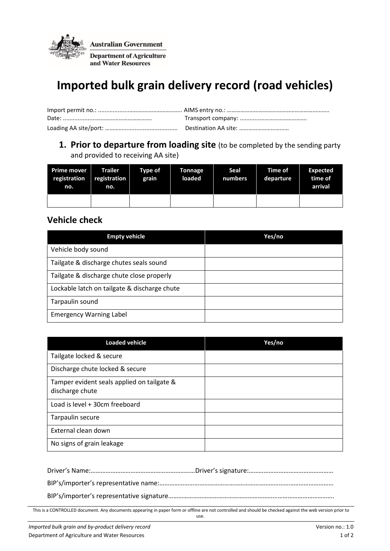

# **Imported bulk grain delivery record (road vehicles)**

#### **1. Prior to departure from loading site** (to be completed by the sending party and provided to receiving AA site)

| Prime mover<br>registration<br>no. | <b>Trailer</b><br>registration<br>no. | Type of<br>grain | Tonnage<br>loaded | Seal<br>numbers | <b>Time of</b><br>departure | Expected<br>time of<br>arrival |
|------------------------------------|---------------------------------------|------------------|-------------------|-----------------|-----------------------------|--------------------------------|
|                                    |                                       |                  |                   |                 |                             |                                |

### **Vehicle check**

| <b>Empty vehicle</b>                         | Yes/no |
|----------------------------------------------|--------|
| Vehicle body sound                           |        |
| Tailgate & discharge chutes seals sound      |        |
| Tailgate & discharge chute close properly    |        |
| Lockable latch on tailgate & discharge chute |        |
| Tarpaulin sound                              |        |
| <b>Emergency Warning Label</b>               |        |

| <b>Loaded vehicle</b>                                         | Yes/no |
|---------------------------------------------------------------|--------|
| Tailgate locked & secure                                      |        |
| Discharge chute locked & secure                               |        |
| Tamper evident seals applied on tailgate &<br>discharge chute |        |
| Load is level + 30cm freeboard                                |        |
| Tarpaulin secure                                              |        |
| External clean down                                           |        |
| No signs of grain leakage                                     |        |

This is a CONTROLLED document. Any documents appearing in paper form or offline are not controlled and should be checked against the web version prior to use.